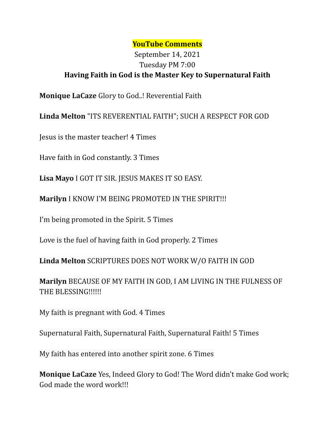## **YouTube Comments**

## September 14, 2021 Tuesday PM 7:00 **Having Faith in God is the Master Key to Supernatural Faith**

**Monique LaCaze** Glory to God..! Reverential Faith

**Linda Melton** "ITS REVERENTIAL FAITH"; SUCH A RESPECT FOR GOD

Jesus is the master teacher! 4 Times

Have faith in God constantly. 3 Times

**Lisa Mayo** I GOT IT SIR. JESUS MAKES IT SO EASY.

**Marilyn** I KNOW I'M BEING PROMOTED IN THE SPIRIT!!!

I'm being promoted in the Spirit. 5 Times

Love is the fuel of having faith in God properly. 2 Times

**Linda Melton** SCRIPTURES DOES NOT WORK W/O FAITH IN GOD

**Marilyn** BECAUSE OF MY FAITH IN GOD, I AM LIVING IN THE FULNESS OF THE BLESSING!!!!!!

My faith is pregnant with God. 4 Times

Supernatural Faith, Supernatural Faith, Supernatural Faith! 5 Times

My faith has entered into another spirit zone. 6 Times

**Monique LaCaze** Yes, Indeed Glory to God! The Word didn't make God work; God made the word work!!!